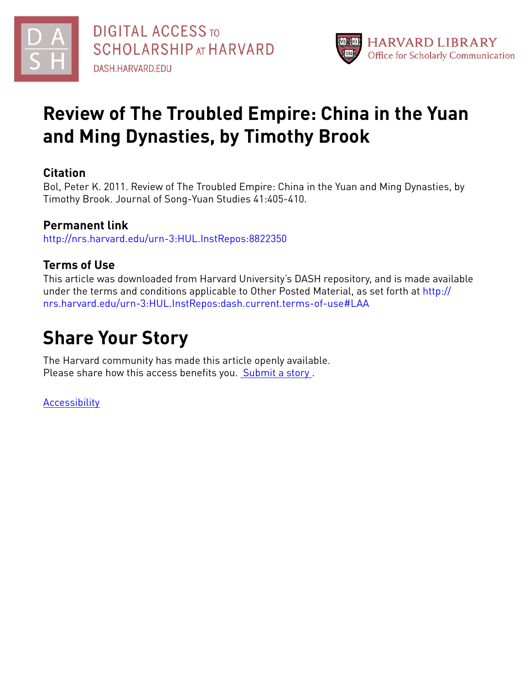



## **Review of The Troubled Empire: China in the Yuan and Ming Dynasties, by Timothy Brook**

### **Citation**

Bol, Peter K. 2011. Review of The Troubled Empire: China in the Yuan and Ming Dynasties, by Timothy Brook. Journal of Song-Yuan Studies 41:405-410.

### **Permanent link**

<http://nrs.harvard.edu/urn-3:HUL.InstRepos:8822350>

#### **Terms of Use**

This article was downloaded from Harvard University's DASH repository, and is made available under the terms and conditions applicable to Other Posted Material, as set forth at [http://](http://nrs.harvard.edu/urn-3:HUL.InstRepos:dash.current.terms-of-use#LAA) [nrs.harvard.edu/urn-3:HUL.InstRepos:dash.current.terms-of-use#LAA](http://nrs.harvard.edu/urn-3:HUL.InstRepos:dash.current.terms-of-use#LAA)

# **Share Your Story**

The Harvard community has made this article openly available. Please share how this access benefits you. [Submit](http://osc.hul.harvard.edu/dash/open-access-feedback?handle=&title=Review%20of%20The%20Troubled%20Empire:%20China%20in%20the%20Yuan%20and%20Ming%20Dynasties,%20by%20Timothy%20Brook&community=1/1&collection=1/2&owningCollection1/2&harvardAuthors=8637eaf6e4e76fc4bacbaafe4143895b&departmentEast%20Asian%20Languages%20and%20Civilizations) a story .

[Accessibility](https://dash.harvard.edu/pages/accessibility)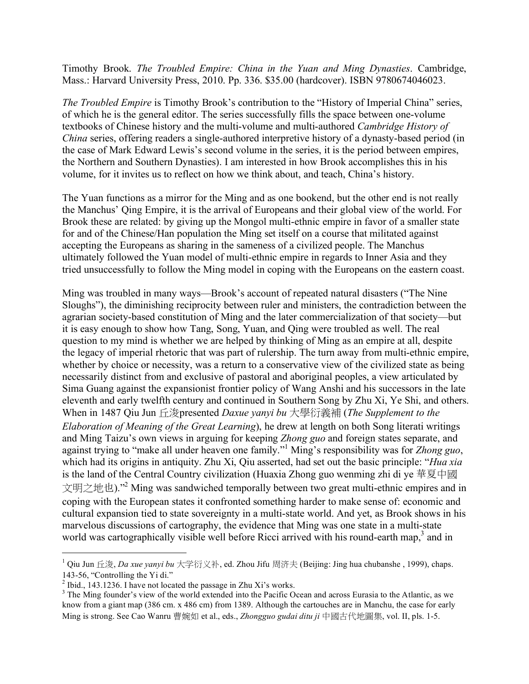Timothy Brook. *The Troubled Empire: China in the Yuan and Ming Dynasties*. Cambridge, Mass.: Harvard University Press, 2010. Pp. 336. \$35.00 (hardcover). ISBN 9780674046023.

*The Troubled Empire* is Timothy Brook's contribution to the "History of Imperial China" series, of which he is the general editor. The series successfully fills the space between one-volume textbooks of Chinese history and the multi-volume and multi-authored *Cambridge History of China* series, offering readers a single-authored interpretive history of a dynasty-based period (in the case of Mark Edward Lewis's second volume in the series, it is the period between empires, the Northern and Southern Dynasties). I am interested in how Brook accomplishes this in his volume, for it invites us to reflect on how we think about, and teach, China's history.

The Yuan functions as a mirror for the Ming and as one bookend, but the other end is not really the Manchus' Qing Empire, it is the arrival of Europeans and their global view of the world. For Brook these are related: by giving up the Mongol multi-ethnic empire in favor of a smaller state for and of the Chinese/Han population the Ming set itself on a course that militated against accepting the Europeans as sharing in the sameness of a civilized people. The Manchus ultimately followed the Yuan model of multi-ethnic empire in regards to Inner Asia and they tried unsuccessfully to follow the Ming model in coping with the Europeans on the eastern coast.

Ming was troubled in many ways—Brook's account of repeated natural disasters ("The Nine Sloughs"), the diminishing reciprocity between ruler and ministers, the contradiction between the agrarian society-based constitution of Ming and the later commercialization of that society—but it is easy enough to show how Tang, Song, Yuan, and Qing were troubled as well. The real question to my mind is whether we are helped by thinking of Ming as an empire at all, despite the legacy of imperial rhetoric that was part of rulership. The turn away from multi-ethnic empire, whether by choice or necessity, was a return to a conservative view of the civilized state as being necessarily distinct from and exclusive of pastoral and aboriginal peoples, a view articulated by Sima Guang against the expansionist frontier policy of Wang Anshi and his successors in the late eleventh and early twelfth century and continued in Southern Song by Zhu Xi, Ye Shi, and others. When in 1487 Qiu Jun 丘浚presented *Daxue yanyi bu* 大學衍義補 (*The Supplement to the Elaboration of Meaning of the Great Learning*), he drew at length on both Song literati writings and Ming Taizu's own views in arguing for keeping *Zhong guo* and foreign states separate, and against trying to "make all under heaven one family."1 Ming's responsibility was for *Zhong guo*, which had its origins in antiquity. Zhu Xi, Qiu asserted, had set out the basic principle: "*Hua xia* is the land of the Central Country civilization (Huaxia Zhong guo wenming zhi di ye 華夏中國 文明之地也)."2 Ming was sandwiched temporally between two great multi-ethnic empires and in coping with the European states it confronted something harder to make sense of: economic and cultural expansion tied to state sovereignty in a multi-state world. And yet, as Brook shows in his marvelous discussions of cartography, the evidence that Ming was one state in a multi-state world was cartographically visible well before Ricci arrived with his round-earth map, $3$  and in

 <sup>1</sup> Qiu Jun 丘浚, *Da xue yanyi bu* 大学衍义补, ed. Zhou Jifu 周济夫 (Beijing: Jing hua chubanshe , 1999), chaps. 143-56, "Controlling the Yi di."<br><sup>2</sup> Ibid., 143.1236. I have not located the passage in Zhu Xi's works.

<sup>&</sup>lt;sup>3</sup> The Ming founder's view of the world extended into the Pacific Ocean and across Eurasia to the Atlantic, as we know from a giant map (386 cm. x 486 cm) from 1389. Although the cartouches are in Manchu, the case for early Ming is strong. See Cao Wanru 曹婉如 et al., eds., *Zhongguo gudai ditu ji* 中國古代地圖集, vol. II, pls. 1-5.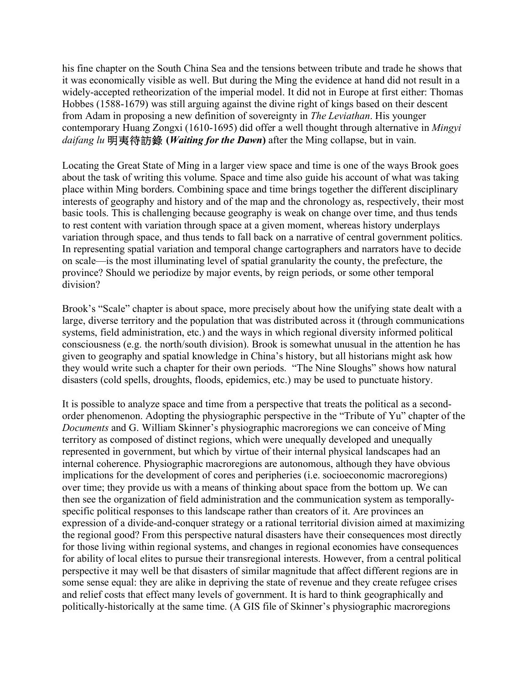his fine chapter on the South China Sea and the tensions between tribute and trade he shows that it was economically visible as well. But during the Ming the evidence at hand did not result in a widely-accepted retheorization of the imperial model. It did not in Europe at first either: Thomas Hobbes (1588-1679) was still arguing against the divine right of kings based on their descent from Adam in proposing a new definition of sovereignty in *The Leviathan*. His younger contemporary Huang Zongxi (1610-1695) did offer a well thought through alternative in *Mingyi daifang lu* 明夷待訪錄 **(***Waiting for the Dawn***)** after the Ming collapse, but in vain.

Locating the Great State of Ming in a larger view space and time is one of the ways Brook goes about the task of writing this volume. Space and time also guide his account of what was taking place within Ming borders. Combining space and time brings together the different disciplinary interests of geography and history and of the map and the chronology as, respectively, their most basic tools. This is challenging because geography is weak on change over time, and thus tends to rest content with variation through space at a given moment, whereas history underplays variation through space, and thus tends to fall back on a narrative of central government politics. In representing spatial variation and temporal change cartographers and narrators have to decide on scale—is the most illuminating level of spatial granularity the county, the prefecture, the province? Should we periodize by major events, by reign periods, or some other temporal division?

Brook's "Scale" chapter is about space, more precisely about how the unifying state dealt with a large, diverse territory and the population that was distributed across it (through communications systems, field administration, etc.) and the ways in which regional diversity informed political consciousness (e.g. the north/south division). Brook is somewhat unusual in the attention he has given to geography and spatial knowledge in China's history, but all historians might ask how they would write such a chapter for their own periods. "The Nine Sloughs" shows how natural disasters (cold spells, droughts, floods, epidemics, etc.) may be used to punctuate history.

It is possible to analyze space and time from a perspective that treats the political as a secondorder phenomenon. Adopting the physiographic perspective in the "Tribute of Yu" chapter of the *Documents* and G. William Skinner's physiographic macroregions we can conceive of Ming territory as composed of distinct regions, which were unequally developed and unequally represented in government, but which by virtue of their internal physical landscapes had an internal coherence. Physiographic macroregions are autonomous, although they have obvious implications for the development of cores and peripheries (i.e. socioeconomic macroregions) over time; they provide us with a means of thinking about space from the bottom up. We can then see the organization of field administration and the communication system as temporallyspecific political responses to this landscape rather than creators of it. Are provinces an expression of a divide-and-conquer strategy or a rational territorial division aimed at maximizing the regional good? From this perspective natural disasters have their consequences most directly for those living within regional systems, and changes in regional economies have consequences for ability of local elites to pursue their transregional interests. However, from a central political perspective it may well be that disasters of similar magnitude that affect different regions are in some sense equal: they are alike in depriving the state of revenue and they create refugee crises and relief costs that effect many levels of government. It is hard to think geographically and politically-historically at the same time. (A GIS file of Skinner's physiographic macroregions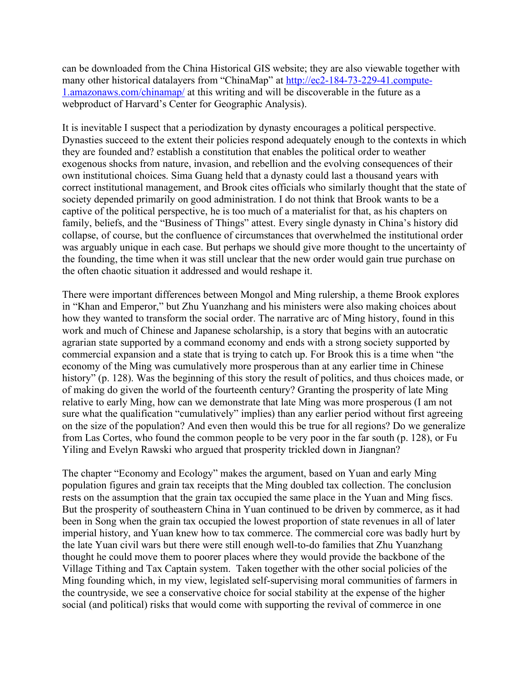can be downloaded from the China Historical GIS website; they are also viewable together with many other historical datalayers from "ChinaMap" at http://ec2-184-73-229-41.compute-1.amazonaws.com/chinamap/ at this writing and will be discoverable in the future as a webproduct of Harvard's Center for Geographic Analysis).

It is inevitable I suspect that a periodization by dynasty encourages a political perspective. Dynasties succeed to the extent their policies respond adequately enough to the contexts in which they are founded and? establish a constitution that enables the political order to weather exogenous shocks from nature, invasion, and rebellion and the evolving consequences of their own institutional choices. Sima Guang held that a dynasty could last a thousand years with correct institutional management, and Brook cites officials who similarly thought that the state of society depended primarily on good administration. I do not think that Brook wants to be a captive of the political perspective, he is too much of a materialist for that, as his chapters on family, beliefs, and the "Business of Things" attest. Every single dynasty in China's history did collapse, of course, but the confluence of circumstances that overwhelmed the institutional order was arguably unique in each case. But perhaps we should give more thought to the uncertainty of the founding, the time when it was still unclear that the new order would gain true purchase on the often chaotic situation it addressed and would reshape it.

There were important differences between Mongol and Ming rulership, a theme Brook explores in "Khan and Emperor," but Zhu Yuanzhang and his ministers were also making choices about how they wanted to transform the social order. The narrative arc of Ming history, found in this work and much of Chinese and Japanese scholarship, is a story that begins with an autocratic agrarian state supported by a command economy and ends with a strong society supported by commercial expansion and a state that is trying to catch up. For Brook this is a time when "the economy of the Ming was cumulatively more prosperous than at any earlier time in Chinese history" (p. 128). Was the beginning of this story the result of politics, and thus choices made, or of making do given the world of the fourteenth century? Granting the prosperity of late Ming relative to early Ming, how can we demonstrate that late Ming was more prosperous (I am not sure what the qualification "cumulatively" implies) than any earlier period without first agreeing on the size of the population? And even then would this be true for all regions? Do we generalize from Las Cortes, who found the common people to be very poor in the far south (p. 128), or Fu Yiling and Evelyn Rawski who argued that prosperity trickled down in Jiangnan?

The chapter "Economy and Ecology" makes the argument, based on Yuan and early Ming population figures and grain tax receipts that the Ming doubled tax collection. The conclusion rests on the assumption that the grain tax occupied the same place in the Yuan and Ming fiscs. But the prosperity of southeastern China in Yuan continued to be driven by commerce, as it had been in Song when the grain tax occupied the lowest proportion of state revenues in all of later imperial history, and Yuan knew how to tax commerce. The commercial core was badly hurt by the late Yuan civil wars but there were still enough well-to-do families that Zhu Yuanzhang thought he could move them to poorer places where they would provide the backbone of the Village Tithing and Tax Captain system. Taken together with the other social policies of the Ming founding which, in my view, legislated self-supervising moral communities of farmers in the countryside, we see a conservative choice for social stability at the expense of the higher social (and political) risks that would come with supporting the revival of commerce in one